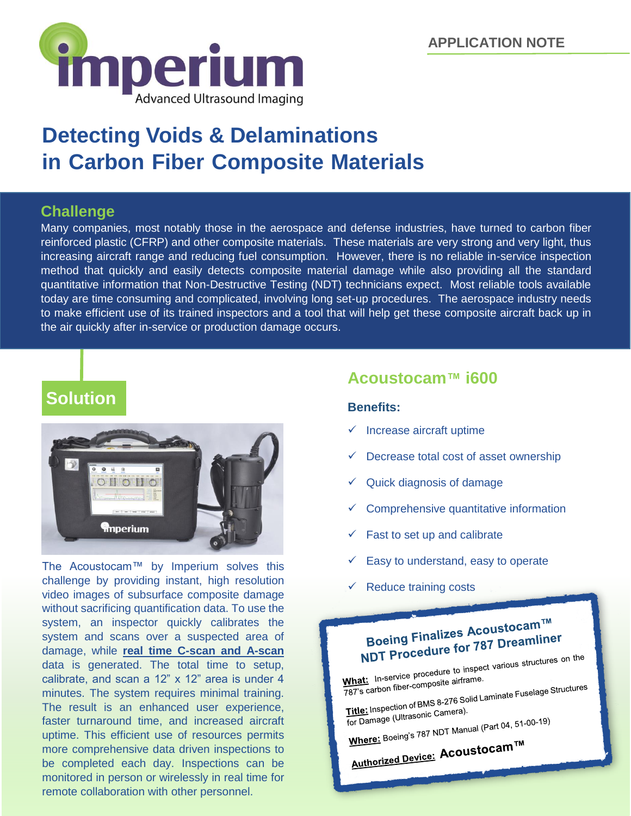

# **Detecting Voids & Delaminations in Carbon Fiber Composite Materials**

# **Challenge**

Many companies, most notably those in the aerospace and defense industries, have turned to carbon fiber reinforced plastic (CFRP) and other composite materials. These materials are very strong and very light, thus increasing aircraft range and reducing fuel consumption. However, there is no reliable in-service inspection method that quickly and easily detects composite material damage while also providing all the standard quantitative information that Non-Destructive Testing (NDT) technicians expect. Most reliable tools available today are time consuming and complicated, involving long set-up procedures. The aerospace industry needs to make efficient use of its trained inspectors and a tool that will help get these composite aircraft back up in the air quickly after in-service or production damage occurs.

# **Solution**



The Acoustocam™ by Imperium solves this challenge by providing instant, high resolution video images of subsurface composite damage without sacrificing quantification data. To use the system, an inspector quickly calibrates the system and scans over a suspected area of damage, while **real time C-scan and A-scan** data is generated. The total time to setup, calibrate, and scan a 12" x 12" area is under 4 minutes. The system requires minimal training. The result is an enhanced user experience, faster turnaround time, and increased aircraft uptime. This efficient use of resources permits more comprehensive data driven inspections to be completed each day. Inspections can be monitored in person or wirelessly in real time for remote collaboration with other personnel.

# **Acoustocam™ i600**

#### **Benefits:**

- Increase aircraft uptime
- Decrease total cost of asset ownership
- $\checkmark$  Quick diagnosis of damage
- Comprehensive quantitative information
- Fast to set up and calibrate
- Easy to understand, easy to operate
- Reduce training costs



**NDT Procedure to inspect various structures on the**<br>What: In-service procedure to inspect various structures on the<br>change fiber-composite airframe. What: In-service procedule to theme.<br>787's carbon fiber-composite airframe. What: In-service Promposite airframe.<br>787's carbon fiber-composite airframe.<br>Title: Inspection of BMS 8-276 Solid Laminate Fuselage Structures Title: Inspection of BMS o-210<br>for Damage (Ultrasonic Camera). for Damage (Ultrasonic Camera).<br>Where: Boeing's 787 NDT Manual (Part 04, 51-00-19) Mhere: Boeings Forman<br>Authorized Device: Acoustocam<sup>TM</sup>